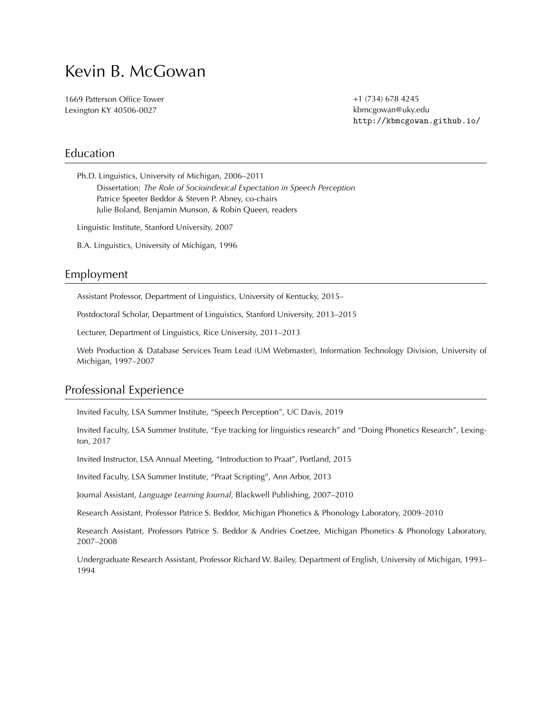# Kevin B. McGowan

1669 Patterson Office Tower Lexington KY 40506-0027

+1 (734) 678 4245 kbmcgowan@uky.edu <http://kbmcgowan.github.io/>

#### Education

Ph.D. Linguistics, University of Michigan, 2006–2011 Dissertation: *The Role of Socioindexical Expectation in Speech Perception* Patrice Speeter Beddor & Steven P. Abney, co-chairs Julie Boland, Benjamin Munson, & Robin Queen, readers

Linguistic Institute, Stanford University, 2007

B.A. Linguistics, University of Michigan, 1996

### Employment

Assistant Professor, Department of Linguistics, University of Kentucky, 2015–

Postdoctoral Scholar, Department of Linguistics, Stanford University, 2013–2015

Lecturer, Department of Linguistics, Rice University, 2011–2013

Web Production & Database Services Team Lead (UM Webmaster), Information Technology Division, University of Michigan, 1997–2007

## Professional Experience

Invited Faculty, LSA Summer Institute, "Speech Perception", UC Davis, 2019

Invited Faculty, LSA Summer Institute, "Eye tracking for linguistics research" and "Doing Phonetics Research", Lexington, 2017

Invited Instructor, LSA Annual Meeting, "Introduction to Praat", Portland, 2015

Invited Faculty, LSA Summer Institute, "Praat Scripting", Ann Arbor, 2013

Journal Assistant, *Language Learning Journal*, Blackwell Publishing, 2007–2010

Research Assistant, Professor Patrice S. Beddor, Michigan Phonetics & Phonology Laboratory, 2009–2010

Research Assistant, Professors Patrice S. Beddor & Andries Coetzee, Michigan Phonetics & Phonology Laboratory, 2007–2008

Undergraduate Research Assistant, Professor Richard W. Bailey, Department of English, University of Michigan, 1993– 1994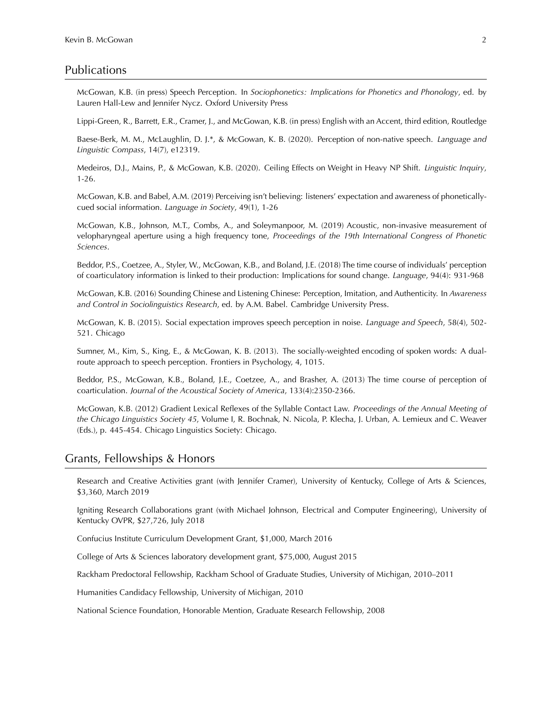#### Publications

McGowan, K.B. (in press) Speech Perception. In *Sociophonetics: Implications for Phonetics and Phonology*, ed. by Lauren Hall-Lew and Jennifer Nycz. Oxford University Press

Lippi-Green, R., Barrett, E.R., Cramer, J., and McGowan, K.B. (in press) English with an Accent, third edition, Routledge

Baese-Berk, M. M., McLaughlin, D. J.\*, & McGowan, K. B. (2020). Perception of non-native speech. *Language and Linguistic Compass*, 14(7), e12319.

Medeiros, D.J., Mains, P., & McGowan, K.B. (2020). Ceiling Effects on Weight in Heavy NP Shift. *Linguistic Inquiry*, 1-26.

McGowan, K.B. and Babel, A.M. (2019) Perceiving isn't believing: listeners' expectation and awareness of phoneticallycued social information. *Language in Society*, 49(1), 1-26

McGowan, K.B., Johnson, M.T., Combs, A., and Soleymanpoor, M. (2019) Acoustic, non-invasive measurement of velopharyngeal aperture using a high frequency tone, *Proceedings* of the 19th International Congress of Phonetic *Sciences*.

Beddor, P.S., Coetzee, A., Styler, W., McGowan, K.B., and Boland, J.E. (2018) The time course of individuals' perception of coarticulatory information is linked to their production: Implications for sound change. *Language*, 94(4): 931-968

McGowan, K.B. (2016) Sounding Chinese and Listening Chinese: Perception, Imitation, and Authenticity. In *Awareness* and Control in Sociolinguistics Research, ed. by A.M. Babel. Cambridge University Press.

McGowan, K. B. (2015). Social expectation improves speech perception in noise. *Language and Speech*, 58(4), 502-521. Chicago

Sumner, M., Kim, S., King, E., & McGowan, K. B. (2013). The socially-weighted encoding of spoken words: A dualroute approach to speech perception. Frontiers in Psychology, 4, 1015.

Beddor, P.S., McGowan, K.B., Boland, J.E., Coetzee, A., and Brasher, A. (2013) The time course of perception of coarticulation. *Journal of the Acoustical Society of America*, 133(4):2350-2366.

McGowan, K.B. (2012) Gradient Lexical Reflexes of the Syllable Contact Law. *Proceedings of the Annual Meeting of* the Chicago Linguistics Society 45, Volume I, R. Bochnak, N. Nicola, P. Klecha, J. Urban, A. Lemieux and C. Weaver (Eds.), p. 445-454. Chicago Linguistics Society: Chicago.

#### Grants, Fellowships & Honors

Research and Creative Activities grant (with Jennifer Cramer), University of Kentucky, College of Arts & Sciences, \$3,360, March 2019

Igniting Research Collaborations grant (with Michael Johnson, Electrical and Computer Engineering), University of Kentucky OVPR, \$27,726, July 2018

Confucius Institute Curriculum Development Grant, \$1,000, March 2016

College of Arts & Sciences laboratory development grant, \$75,000, August 2015

Rackham Predoctoral Fellowship, Rackham School of Graduate Studies, University of Michigan, 2010–2011

Humanities Candidacy Fellowship, University of Michigan, 2010

National Science Foundation, Honorable Mention, Graduate Research Fellowship, 2008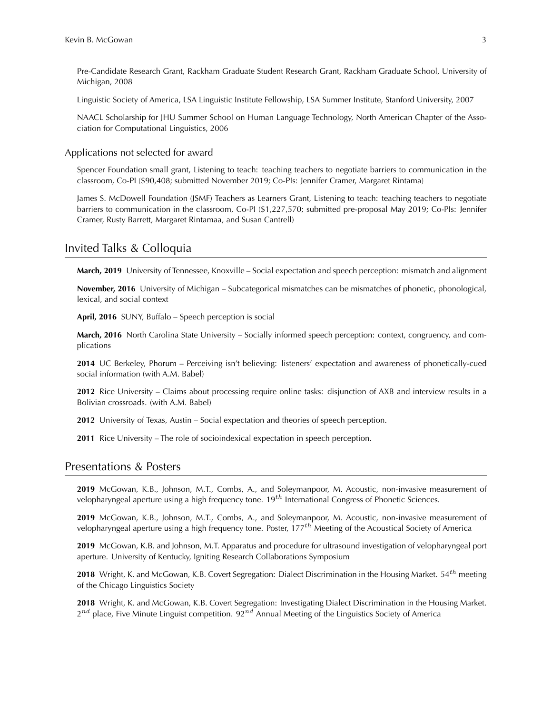Pre-Candidate Research Grant, Rackham Graduate Student Research Grant, Rackham Graduate School, University of Michigan, 2008

Linguistic Society of America, LSA Linguistic Institute Fellowship, LSA Summer Institute, Stanford University, 2007

NAACL Scholarship for JHU Summer School on Human Language Technology, North American Chapter of the Association for Computational Linguistics, 2006

Applications not selected for award

Spencer Foundation small grant, Listening to teach: teaching teachers to negotiate barriers to communication in the classroom, Co-PI (\$90,408; submitted November 2019; Co-PIs: Jennifer Cramer, Margaret Rintama)

James S. McDowell Foundation (JSMF) Teachers as Learners Grant, Listening to teach: teaching teachers to negotiate barriers to communication in the classroom, Co-PI (\$1,227,570; submitted pre-proposal May 2019; Co-PIs: Jennifer Cramer, Rusty Barrett, Margaret Rintamaa, and Susan Cantrell)

#### Invited Talks & Colloquia

**March, 2019** University of Tennessee, Knoxville – Social expectation and speech perception: mismatch and alignment

**November, 2016** University of Michigan – Subcategorical mismatches can be mismatches of phonetic, phonological, lexical, and social context

April, 2016 SUNY, Buffalo – Speech perception is social

**March, 2016** North Carolina State University – Socially informed speech perception: context, congruency, and complications

**2014** UC Berkeley, Phorum – Perceiving isn't believing: listeners' expectation and awareness of phonetically-cued social information (with A.M. Babel)

**2012** Rice University – Claims about processing require online tasks: disjunction of AXB and interview results in a Bolivian crossroads. (with A.M. Babel)

2012 University of Texas, Austin – Social expectation and theories of speech perception.

**2011** Rice University – The role of socioindexical expectation in speech perception.

#### Presentations & Posters

**2019** McGowan, K.B., Johnson, M.T., Combs, A., and Soleymanpoor, M. Acoustic, non-invasive measurement of velopharyngeal aperture using a high frequency tone.  $19^{th}$  International Congress of Phonetic Sciences.

**2019** McGowan, K.B., Johnson, M.T., Combs, A., and Soleymanpoor, M. Acoustic, non-invasive measurement of velopharyngeal aperture using a high frequency tone. Poster, 177<sup>th</sup> Meeting of the Acoustical Society of America

**2019** McGowan, K.B. and Johnson, M.T. Apparatus and procedure for ultrasound investigation of velopharyngeal port aperture. University of Kentucky, Igniting Research Collaborations Symposium

**2018** Wright, K. and McGowan, K.B. Covert Segregation: Dialect Discrimination in the Housing Market. 54<sup>th</sup> meeting of the Chicago Linguistics Society

2018 Wright, K. and McGowan, K.B. Covert Segregation: Investigating Dialect Discrimination in the Housing Market.  $2^{nd}$  place, Five Minute Linguist competition.  $92^{nd}$  Annual Meeting of the Linguistics Society of America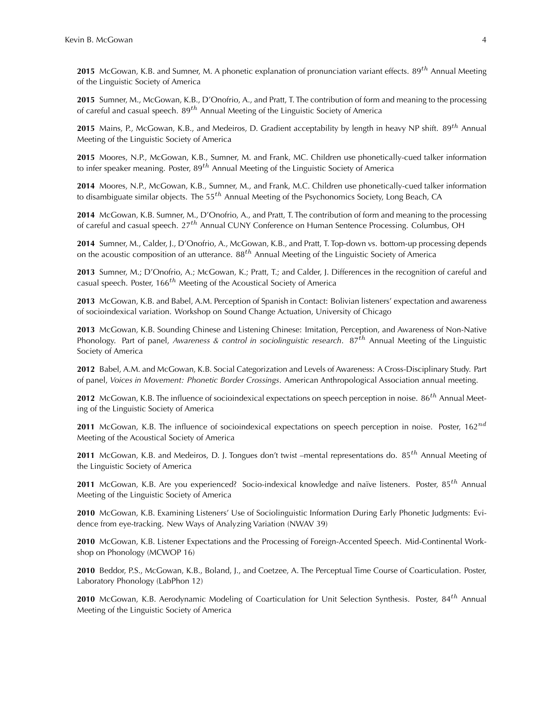**2015** McGowan, K.B. and Sumner, M. A phonetic explanation of pronunciation variant effects. 89<sup>th</sup> Annual Meeting of the Linguistic Society of America

**2015** Sumner, M., McGowan, K.B., D'Onofrio, A., and Pratt, T. The contribution of form and meaning to the processing of careful and casual speech.  $89^{th}$  Annual Meeting of the Linguistic Society of America

**2015** Mains, P., McGowan, K.B., and Medeiros, D. Gradient acceptability by length in heavy NP shift. 89<sup>th</sup> Annual Meeting of the Linguistic Society of America

2015 Moores, N.P., McGowan, K.B., Sumner, M. and Frank, MC. Children use phonetically-cued talker information to infer speaker meaning. Poster, 89<sup>th</sup> Annual Meeting of the Linguistic Society of America

2014 Moores, N.P., McGowan, K.B., Sumner, M., and Frank, M.C. Children use phonetically-cued talker information to disambiguate similar objects. The 55<sup>th</sup> Annual Meeting of the Psychonomics Society, Long Beach, CA

**2014** McGowan, K.B. Sumner, M., D'Onofrio, A., and Pratt, T. The contribution of form and meaning to the processing of careful and casual speech.  $27<sup>th</sup>$  Annual CUNY Conference on Human Sentence Processing. Columbus, OH

2014 Sumner, M., Calder, J., D'Onofrio, A., McGowan, K.B., and Pratt, T. Top-down vs. bottom-up processing depends on the acoustic composition of an utterance. 88<sup>th</sup> Annual Meeting of the Linguistic Society of America

2013 Sumner, M.; D'Onofrio, A.; McGowan, K.; Pratt, T.; and Calder, J. Differences in the recognition of careful and casual speech. Poster,  $166^{th}$  Meeting of the Acoustical Society of America

2013 McGowan, K.B. and Babel, A.M. Perception of Spanish in Contact: Bolivian listeners' expectation and awareness of socioindexical variation. Workshop on Sound Change Actuation, University of Chicago

2013 McGowan, K.B. Sounding Chinese and Listening Chinese: Imitation, Perception, and Awareness of Non-Native Phonology. Part of panel, *Awareness & control in sociolinguistic research*. 87<sup>th</sup> Annual Meeting of the Linguistic Society of America

2012 Babel, A.M. and McGowan, K.B. Social Categorization and Levels of Awareness: A Cross-Disciplinary Study. Part of panel, *Voices in Movement: Phonetic Border Crossings*. American Anthropological Association annual meeting.

**2012** McGowan, K.B. The influence of socioindexical expectations on speech perception in noise. 86<sup>th</sup> Annual Meeting of the Linguistic Society of America

**2011** McGowan, K.B. The influence of socioindexical expectations on speech perception in noise. Poster,  $162^{nd}$ Meeting of the Acoustical Society of America

**2011** McGowan, K.B. and Medeiros, D. J. Tongues don't twist –mental representations do. 85<sup>th</sup> Annual Meeting of the Linguistic Society of America

**2011** McGowan, K.B. Are you experienced? Socio-indexical knowledge and naïve listeners. Poster, 85<sup>th</sup> Annual Meeting of the Linguistic Society of America

**2010** McGowan, K.B. Examining Listeners' Use of Sociolinguistic Information During Early Phonetic Judgments: Evidence from eye-tracking. New Ways of Analyzing Variation (NWAV 39)

**2010** McGowan, K.B. Listener Expectations and the Processing of Foreign-Accented Speech. Mid-Continental Workshop on Phonology (MCWOP 16)

2010 Beddor, P.S., McGowan, K.B., Boland, J., and Coetzee, A. The Perceptual Time Course of Coarticulation. Poster, Laboratory Phonology (LabPhon 12)

**2010** McGowan, K.B. Aerodynamic Modeling of Coarticulation for Unit Selection Synthesis. Poster, 84<sup>th</sup> Annual Meeting of the Linguistic Society of America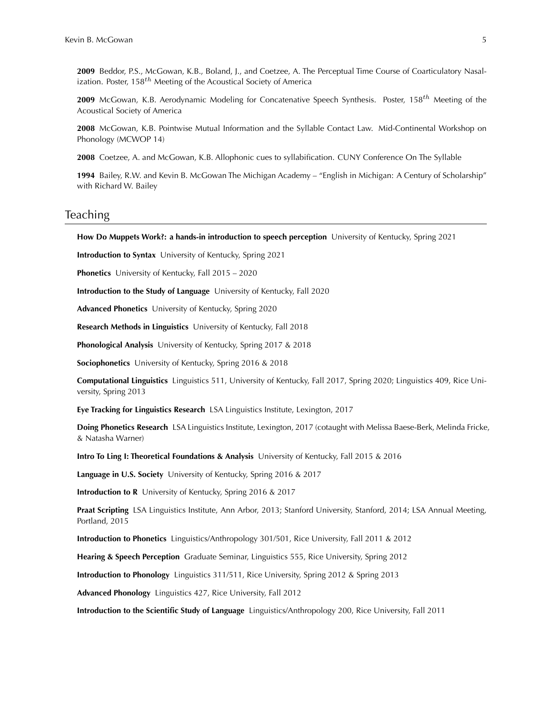2009 Beddor, P.S., McGowan, K.B., Boland, J., and Coetzee, A. The Perceptual Time Course of Coarticulatory Nasalization. Poster,  $158<sup>th</sup>$  Meeting of the Acoustical Society of America

**2009** McGowan, K.B. Aerodynamic Modeling for Concatenative Speech Synthesis. Poster, 158<sup>th</sup> Meeting of the Acoustical Society of America

**2008** McGowan, K.B. Pointwise Mutual Information and the Syllable Contact Law. Mid-Continental Workshop on Phonology (MCWOP 14)

2008 Coetzee, A. and McGowan, K.B. Allophonic cues to syllabification. CUNY Conference On The Syllable

**1994** Bailey, R.W. and Kevin B. McGowan The Michigan Academy – "English in Michigan: A Century of Scholarship" with Richard W. Bailey

#### **Teaching**

How Do Muppets Work?: a hands-in introduction to speech perception University of Kentucky, Spring 2021

**Introduction to Syntax** University of Kentucky, Spring 2021

**Phonetics** University of Kentucky, Fall 2015 - 2020

**Introduction to the Study of Language** University of Kentucky, Fall 2020

**Advanced Phonetics** University of Kentucky, Spring 2020

**Research Methods in Linguistics** University of Kentucky, Fall 2018

**Phonological Analysis** University of Kentucky, Spring 2017 & 2018

**Sociophonetics** University of Kentucky, Spring 2016 & 2018

**Computational Linguistics** Linguistics 511, University of Kentucky, Fall 2017, Spring 2020; Linguistics 409, Rice University, Spring 2013

**Eye Tracking for Linguistics Research** LSA Linguistics Institute, Lexington, 2017

**Doing Phonetics Research** LSA Linguistics Institute, Lexington, 2017 (cotaught with Melissa Baese-Berk, Melinda Fricke, & Natasha Warner)

**Intro To Ling I: Theoretical Foundations & Analysis** University of Kentucky, Fall 2015 & 2016

**Language in U.S. Society** University of Kentucky, Spring 2016 & 2017

**Introduction to R** University of Kentucky, Spring 2016 & 2017

Praat Scripting LSA Linguistics Institute, Ann Arbor, 2013; Stanford University, Stanford, 2014; LSA Annual Meeting, Portland, 2015

**Introduction to Phonetics** Linguistics/Anthropology 301/501, Rice University, Fall 2011 & 2012

**Hearing & Speech Perception** Graduate Seminar, Linguistics 555, Rice University, Spring 2012

**Introduction to Phonology** Linguistics 311/511, Rice University, Spring 2012 & Spring 2013

**Advanced Phonology** Linguistics 427, Rice University, Fall 2012

**Introduction to the Scientific Study of Language** Linguistics/Anthropology 200, Rice University, Fall 2011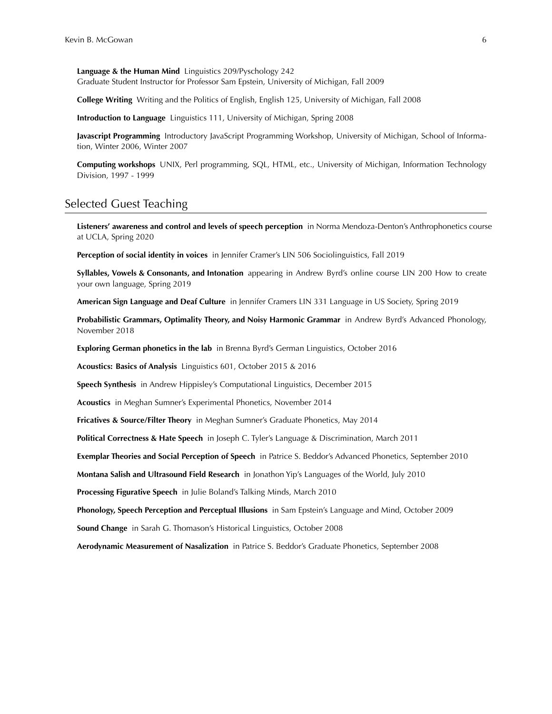**Language & the Human Mind** Linguistics 209/Pyschology 242 Graduate Student Instructor for Professor Sam Epstein, University of Michigan, Fall 2009

**College Writing** Writing and the Politics of English, English 125, University of Michigan, Fall 2008

**Introduction to Language** Linguistics 111, University of Michigan, Spring 2008

**Javascript Programming** Introductory JavaScript Programming Workshop, University of Michigan, School of Information, Winter 2006, Winter 2007

**Computing workshops** UNIX, Perl programming, SQL, HTML, etc., University of Michigan, Information Technology Division, 1997 - 1999

## Selected Guest Teaching

Listeners' awareness and control and levels of speech perception in Norma Mendoza-Denton's Anthrophonetics course at UCLA, Spring 2020

**Perception of social identity in voices** in Jennifer Cramer's LIN 506 Sociolinguistics, Fall 2019

**Syllables, Vowels & Consonants, and Intonation** appearing in Andrew Byrd's online course LIN 200 How to create your own language, Spring 2019

**American Sign Language and Deaf Culture** in Jennifer Cramers LIN 331 Language in US Society, Spring 2019

**Probabilistic Grammars, Optimality Theory, and Noisy Harmonic Grammar** in Andrew Byrd's Advanced Phonology, November 2018

**Exploring German phonetics in the lab** in Brenna Byrd's German Linguistics, October 2016

**Acoustics: Basics of Analysis** Linguistics 601, October 2015 & 2016

**Speech Synthesis** in Andrew Hippisley's Computational Linguistics, December 2015

Acoustics in Meghan Sumner's Experimental Phonetics, November 2014

Fricatives & Source/Filter Theory in Meghan Sumner's Graduate Phonetics, May 2014

**Political Correctness & Hate Speech** in Joseph C. Tyler's Language & Discrimination, March 2011

**Exemplar Theories and Social Perception of Speech** in Patrice S. Beddor's Advanced Phonetics, September 2010

**Montana Salish and Ultrasound Field Research** in Jonathon Yip's Languages of the World, July 2010

**Processing Figurative Speech** in Julie Boland's Talking Minds, March 2010

**Phonology, Speech Perception and Perceptual Illusions** in Sam Epstein's Language and Mind, October 2009

**Sound Change** in Sarah G. Thomason's Historical Linguistics, October 2008

**Aerodynamic Measurement of Nasalization** in Patrice S. Beddor's Graduate Phonetics, September 2008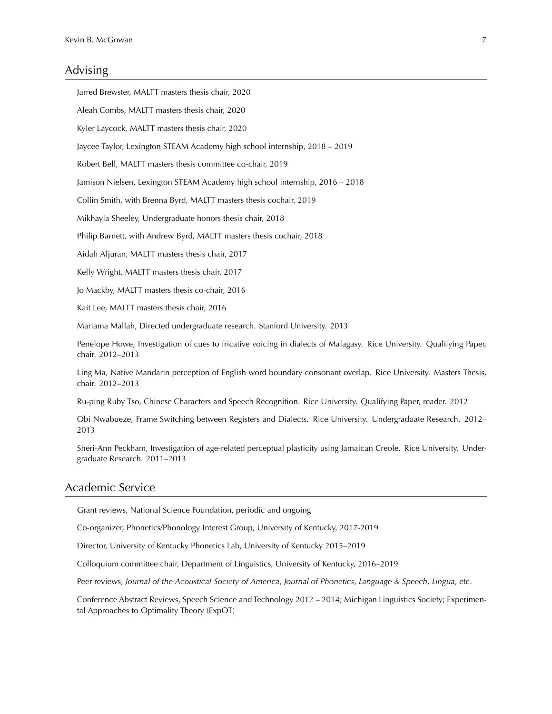## Advising

| Jarred Brewster, MALTT masters thesis chair, 2020                                                                                                    |
|------------------------------------------------------------------------------------------------------------------------------------------------------|
| Aleah Combs, MALTT masters thesis chair, 2020                                                                                                        |
| Kyler Laycock, MALTT masters thesis chair, 2020                                                                                                      |
| Jaycee Taylor, Lexington STEAM Academy high school internship, 2018 - 2019                                                                           |
| Robert Bell, MALTT masters thesis committee co-chair, 2019                                                                                           |
| Jamison Nielsen, Lexington STEAM Academy high school internship, 2016 - 2018                                                                         |
| Collin Smith, with Brenna Byrd, MALTT masters thesis cochair, 2019                                                                                   |
| Mikhayla Sheeley, Undergraduate honors thesis chair, 2018                                                                                            |
| Philip Barnett, with Andrew Byrd, MALTT masters thesis cochair, 2018                                                                                 |
| Aidah Aljuran, MALTT masters thesis chair, 2017                                                                                                      |
| Kelly Wright, MALTT masters thesis chair, 2017                                                                                                       |
| Jo Mackby, MALTT masters thesis co-chair, 2016                                                                                                       |
| Kait Lee, MALTT masters thesis chair, 2016                                                                                                           |
| Mariama Mallah, Directed undergraduate research. Stanford University. 2013                                                                           |
| Penelope Howe, Investigation of cues to fricative voicing in dialects of Malagasy. Rice University. Qualifying Paper,<br>chair. 2012-2013            |
| Ling Ma, Native Mandarin perception of English word boundary consonant overlap. Rice University. Masters Thesis,<br>chair. 2012-2013                 |
| Ru-ping Ruby Tso, Chinese Characters and Speech Recognition. Rice University. Qualifying Paper, reader. 2012                                         |
| Obi Nwabueze, Frame Switching between Registers and Dialects. Rice University. Undergraduate Research. 2012-<br>2013                                 |
| Sheri-Ann Peckham, Investigation of age-related perceptual plasticity using Jamaican Creole. Rice University. Under-<br>graduate Research. 2011-2013 |
|                                                                                                                                                      |

# Academic Service

Grant reviews, National Science Foundation, periodic and ongoing

Co-organizer, Phonetics/Phonology Interest Group, University of Kentucky, 2017-2019

Director, University of Kentucky Phonetics Lab, University of Kentucky 2015–2019

Colloquium committee chair, Department of Linguistics, University of Kentucky, 2016–2019

Peer reviews, *Journal of the Acoustical Society of America*, *Journal of Phonetics*, *Language & Speech*, *Lingua*, etc.

Conference Abstract Reviews, Speech Science and Technology 2012 - 2014; Michigan Linguistics Society; Experimental Approaches to Optimality Theory (ExpOT)